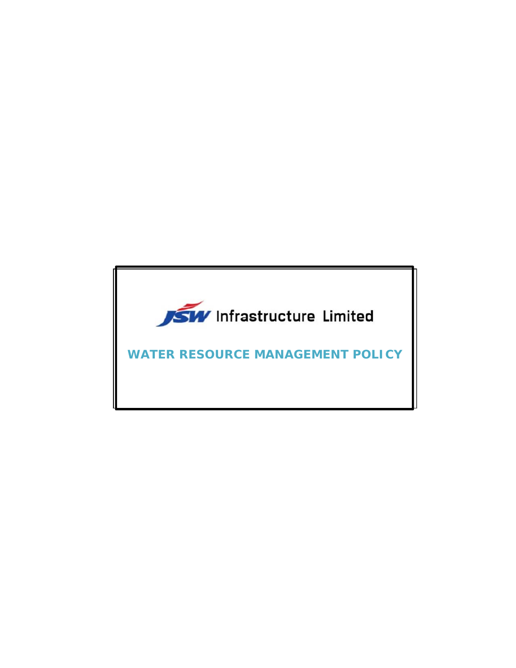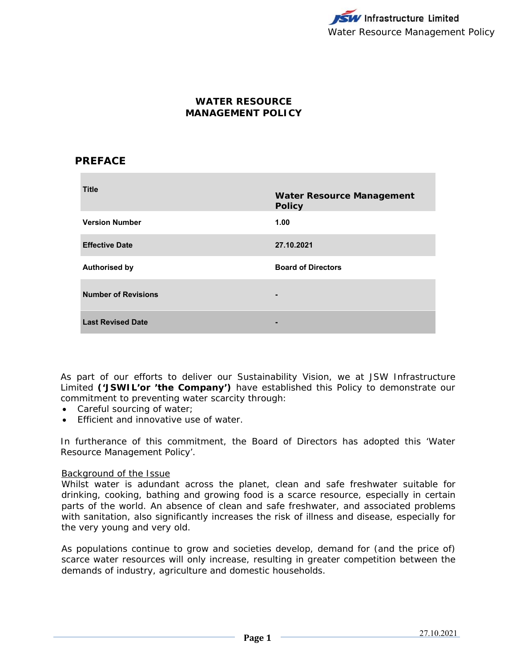# **WATER RESOURCE MANAGEMENT POLICY**

# **PREFACE**

| <b>Title</b>               | <b>Water Resource Management</b><br><b>Policy</b> |
|----------------------------|---------------------------------------------------|
| <b>Version Number</b>      | 1.00                                              |
| <b>Effective Date</b>      | 27.10.2021                                        |
| <b>Authorised by</b>       | <b>Board of Directors</b>                         |
| <b>Number of Revisions</b> | $\blacksquare$                                    |
| <b>Last Revised Date</b>   | -                                                 |

As part of our efforts to deliver our Sustainability Vision, we at JSW Infrastructure Limited **('JSWIL'or 'the Company')** have established this Policy to demonstrate our commitment to preventing water scarcity through:

- Careful sourcing of water;
- **Efficient and innovative use of water.**

In furtherance of this commitment, the Board of Directors has adopted this 'Water Resource Management Policy'.

### Background of the Issue

Whilst water is adundant across the planet, clean and safe freshwater suitable for drinking, cooking, bathing and growing food is a scarce resource, especially in certain parts of the world. An absence of clean and safe freshwater, and associated problems with sanitation, also significantly increases the risk of illness and disease, especially for the very young and very old.

As populations continue to grow and societies develop, demand for (and the price of) scarce water resources will only increase, resulting in greater competition between the demands of industry, agriculture and domestic households.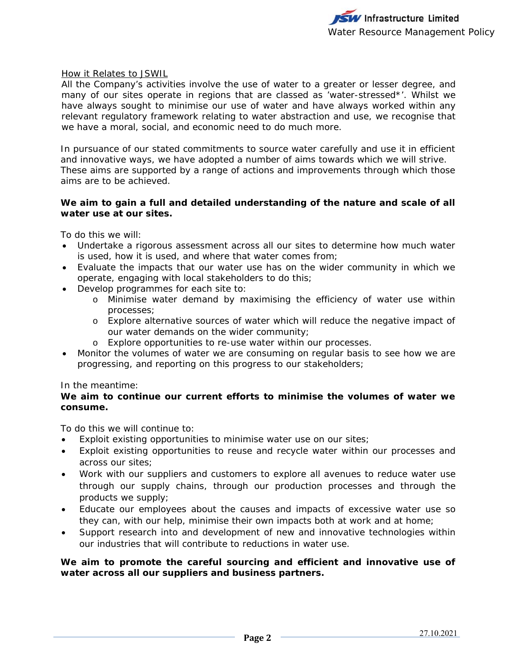### How it Relates to JSWIL

All the Company's activities involve the use of water to a greater or lesser degree, and many of our sites operate in regions that are classed as 'water-stressed\*'. Whilst we have always sought to minimise our use of water and have always worked within any relevant regulatory framework relating to water abstraction and use, we recognise that we have a moral, social, and economic need to do much more.

In pursuance of our stated commitments to source water carefully and use it in efficient and innovative ways, we have adopted a number of aims towards which we will strive. These aims are supported by a range of actions and improvements through which those aims are to be achieved.

## **We aim to gain a full and detailed understanding of the nature and scale of all water use at our sites.**

To do this we will:

- Undertake a rigorous assessment across all our sites to determine how much water is used, how it is used, and where that water comes from;
- Evaluate the impacts that our water use has on the wider community in which we operate, engaging with local stakeholders to do this;
- Develop programmes for each site to:
	- o Minimise water demand by maximising the efficiency of water use within processes;
	- o Explore alternative sources of water which will reduce the negative impact of our water demands on the wider community;
	- o Explore opportunities to re-use water within our processes.
- Monitor the volumes of water we are consuming on regular basis to see how we are progressing, and reporting on this progress to our stakeholders;

### In the meantime:

## **We aim to continue our current efforts to minimise the volumes of water we consume.**

To do this we will continue to:

- Exploit existing opportunities to minimise water use on our sites;
- Exploit existing opportunities to reuse and recycle water within our processes and across our sites;
- Work with our suppliers and customers to explore all avenues to reduce water use through our supply chains, through our production processes and through the products we supply;
- Educate our employees about the causes and impacts of excessive water use so they can, with our help, minimise their own impacts both at work and at home;
- Support research into and development of new and innovative technologies within our industries that will contribute to reductions in water use.

### **We aim to promote the careful sourcing and efficient and innovative use of water across all our suppliers and business partners.**